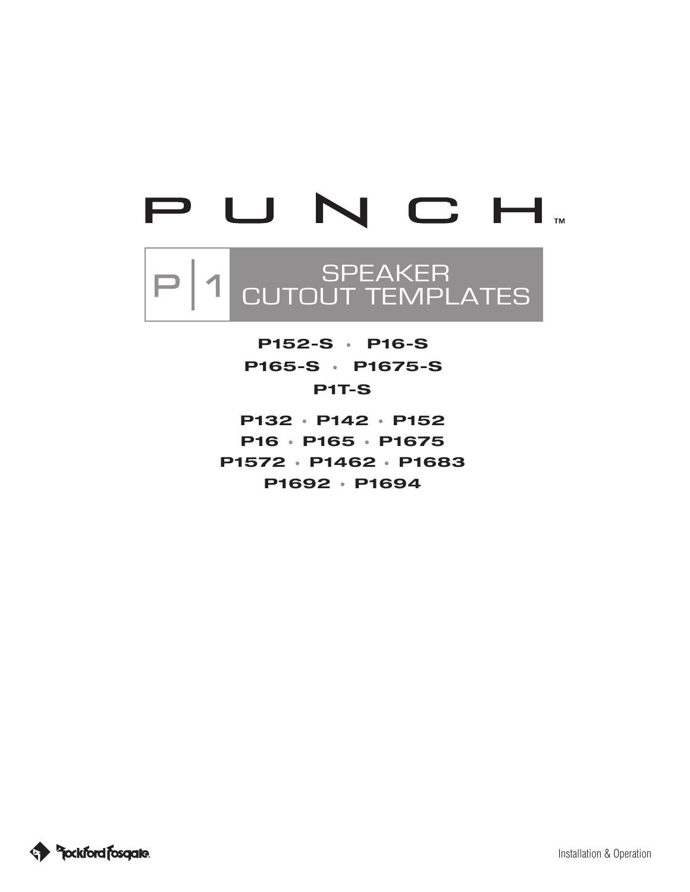# PUNCH.

# SPEAKER  $\vert$ CUTOUT TEMPLATES

**P1T-S P152-S P16-S P165-S P1675-S**

**P132 P142 P152 P16 P165 P1675 P1572 P1462 P1683 P1692 P1694**

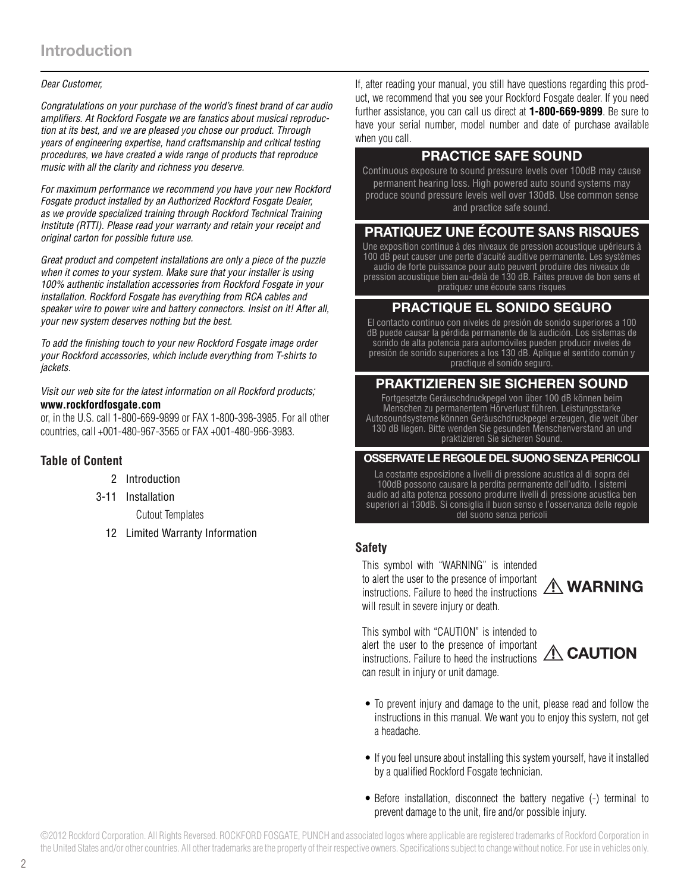#### *Dear Customer,*

*Congratulations on your purchase of the world's finest brand of car audio amplifiers. At Rockford Fosgate we are fanatics about musical reproduction at its best, and we are pleased you chose our product. Through years of engineering expertise, hand craftsmanship and critical testing procedures, we have created a wide range of products that reproduce music with all the clarity and richness you deserve.*

*For maximum performance we recommend you have your new Rockford Fosgate product installed by an Authorized Rockford Fosgate Dealer, as we provide specialized training through Rockford Technical Training Institute (RTTI). Please read your warranty and retain your receipt and original carton for possible future use.*

*Great product and competent installations are only a piece of the puzzle when it comes to your system. Make sure that your installer is using 100% authentic installation accessories from Rockford Fosgate in your installation. Rockford Fosgate has everything from RCA cables and speaker wire to power wire and battery connectors. Insist on it! After all, your new system deserves nothing but the best.*

*To add the finishing touch to your new Rockford Fosgate image order your Rockford accessories, which include everything from T-shirts to jackets.*

*Visit our web site for the latest information on all Rockford products;*  **www.rockfordfosgate.com** 

or, in the U.S. call 1-800-669-9899 or FAX 1-800-398-3985. For all other countries, call +001-480-967-3565 or FAX +001-480-966-3983.

#### **Table of Content**

- 2 Introduction
- 3-11 Installation

Cutout Templates

12 Limited Warranty Information

If, after reading your manual, you still have questions regarding this product, we recommend that you see your Rockford Fosgate dealer. If you need further assistance, you can call us direct at **1-800-669-9899**. Be sure to have your serial number, model number and date of purchase available when you call.

## **PRACTICE SAFE SOUND**

Continuous exposure to sound pressure levels over 100dB may cause permanent hearing loss. High powered auto sound systems may produce sound pressure levels well over 130dB. Use common sense and practice safe sound.

## **PRATIQUEZ UNE ÉCOUTE SANS RISQUES**

Une exposition continue à des niveaux de pression acoustique upérieurs à 100 dB peut causer une perte d'acuité auditive permanente. Les systèmes audio de forte puissance pour auto peuvent produire des niveaux de pression acoustique bien au-delà de 130 dB. Faites preuve de bon sens et pratiquez une écoute sans risques

## **PRACTIQUE EL SONIDO SEGURO**

El contacto continuo con niveles de presión de sonido superiores a 100 dB puede causar la pérdida permanente de la audición. Los sistemas de sonido de alta potencia para automóviles pueden producir niveles de presión de sonido superiores a los 130 dB. Aplique el sentido común y practique el sonido seguro.

## **PRAKTIZIEREN SIE SICHEREN SOUND**

Fortgesetzte Geräuschdruckpegel von über 100 dB können beim Menschen zu permanentem Hörverlust führen. Leistungsstarke Autosoundsysteme können Geräuschdruckpegel erzeugen, die weit über 130 dB liegen. Bitte wenden Sie gesunden Menschenverstand an und praktizieren Sie sicheren Sound.

#### **OSSERVATE LE REGOLE DEL SUONO SENZA PERICOLI**

La costante esposizione a livelli di pressione acustica al di sopra dei 100dB possono causare la perdita permanente dell'udito. I sistemi audio ad alta potenza possono produrre livelli di pressione acustica ben superiori ai 130dB. Si consiglia il buon senso e l'osservanza delle regole del suono senza pericoli

#### **Safety**

This symbol with "WARNING" is intended to alert the user to the presence of important instructions. Failure to heed the instructions  $\triangle$  WARNING will result in severe injury or death.

This symbol with "CAUTION" is intended to alert the user to the presence of important instructions. Failure to heed the instructions **A CAUTION** can result in injury or unit damage.



- To prevent injury and damage to the unit, please read and follow the instructions in this manual. We want you to enjoy this system, not get a headache.
- If you feel unsure about installing this system yourself, have it installed by a qualified Rockford Fosgate technician.
- Before installation, disconnect the battery negative (-) terminal to prevent damage to the unit, fire and/or possible injury.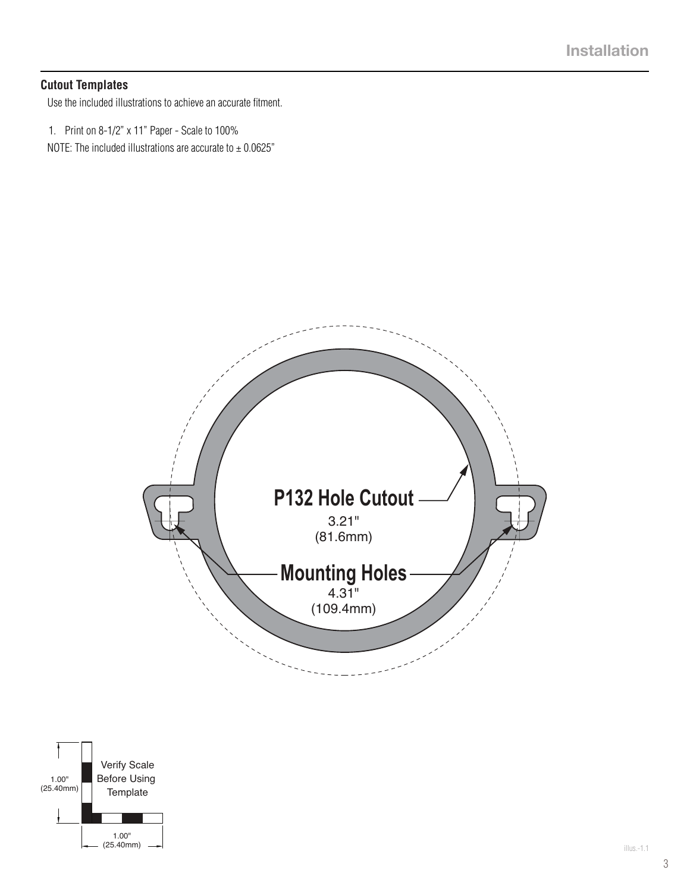### **Cutout Templates**

Use the included illustrations to achieve an accurate fitment.

1. Print on 8-1/2" x 11" Paper - Scale to 100%

NOTE: The included illustrations are accurate to  $\pm$  0.0625"



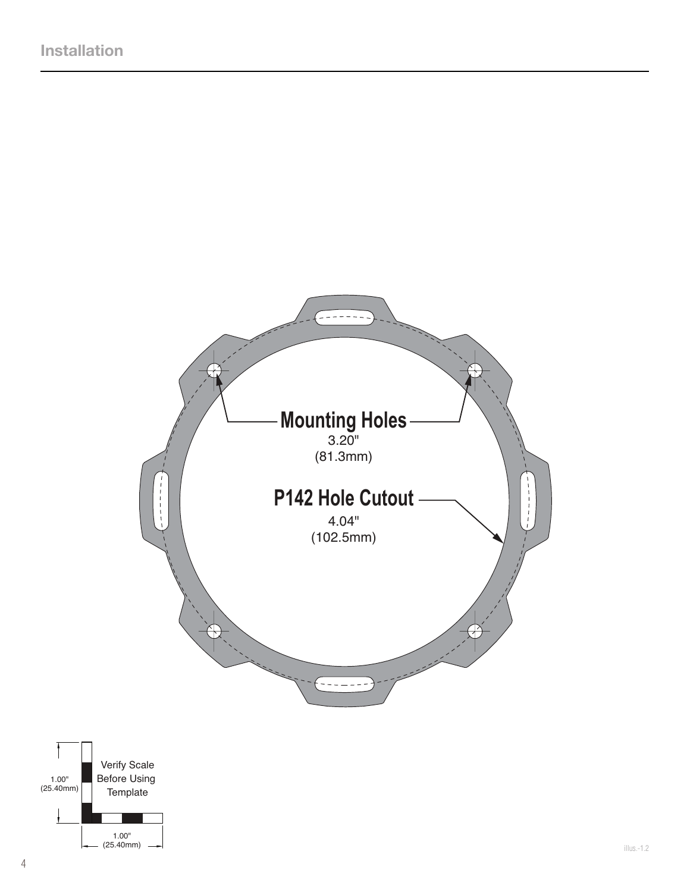

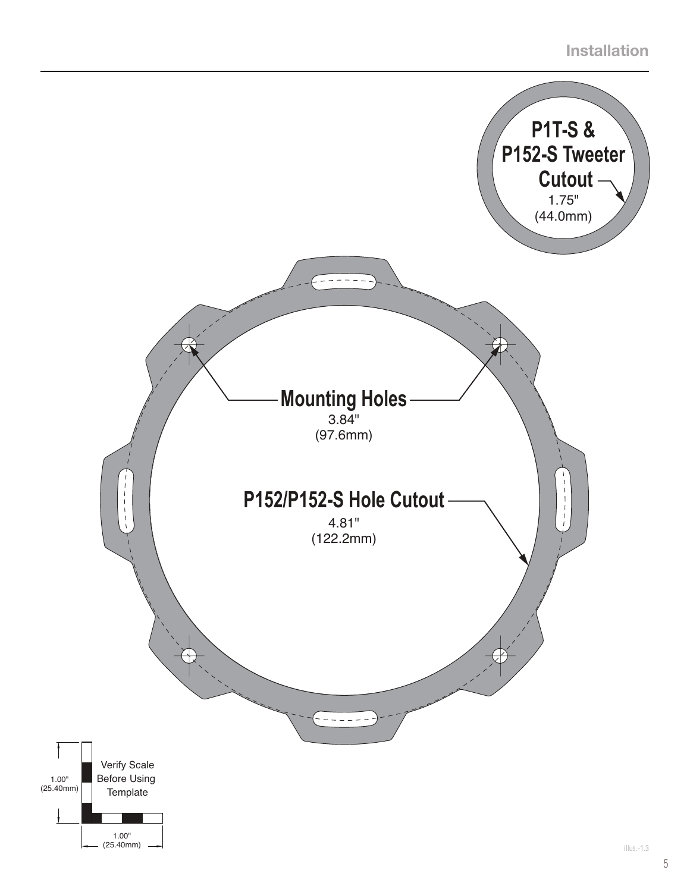# **Installation**

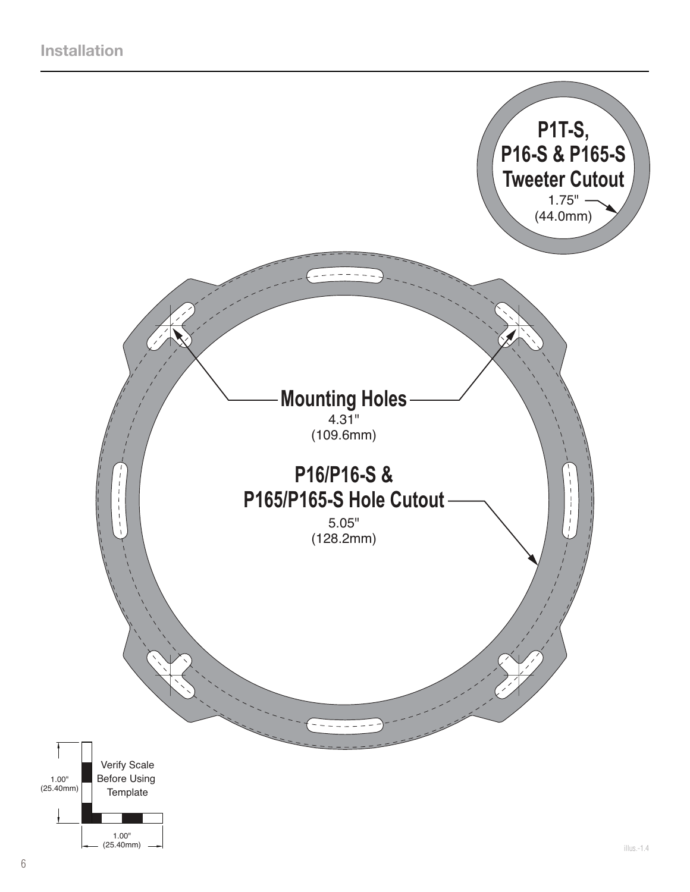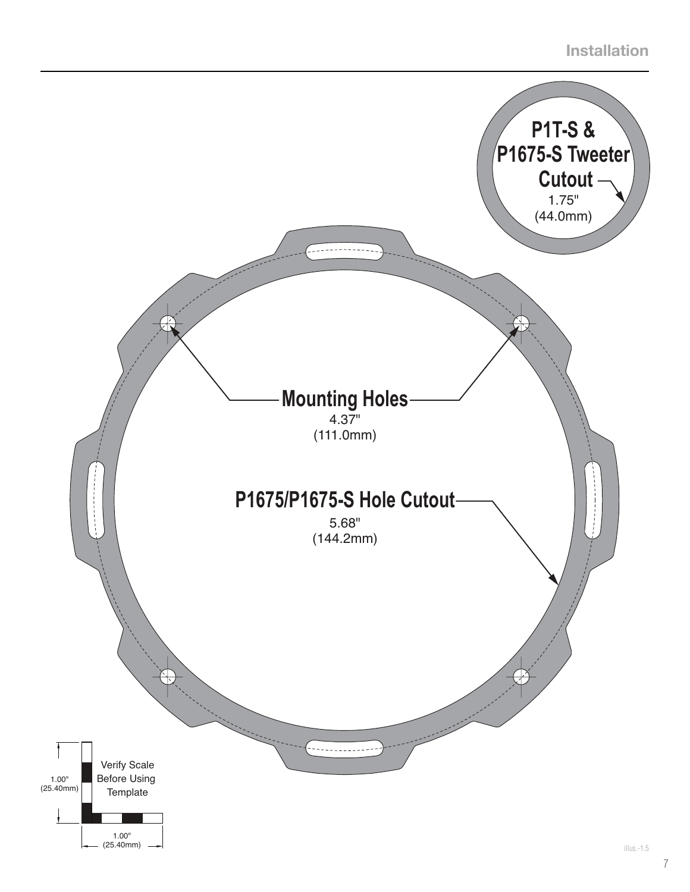# **Installation**

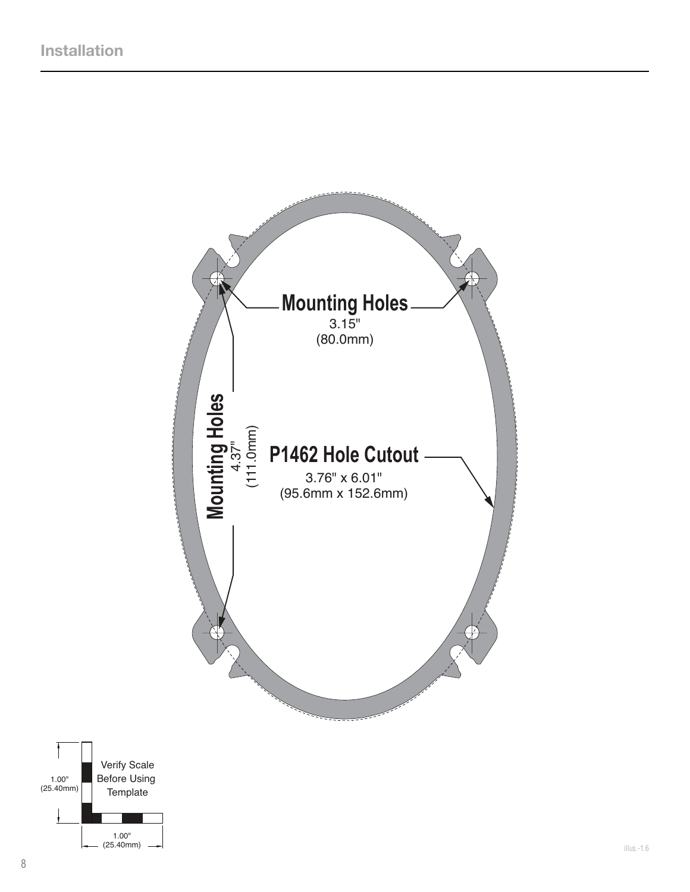

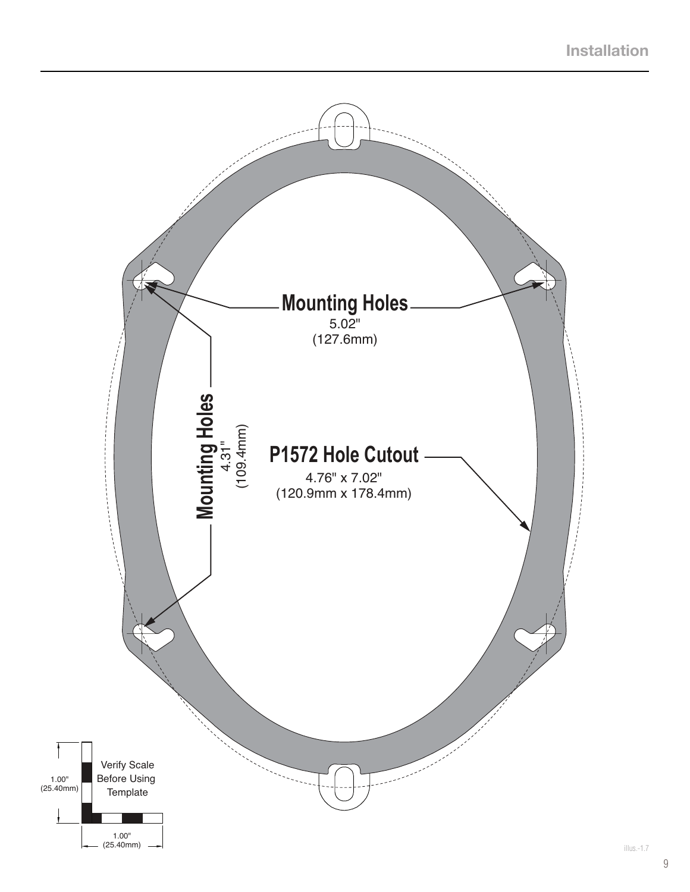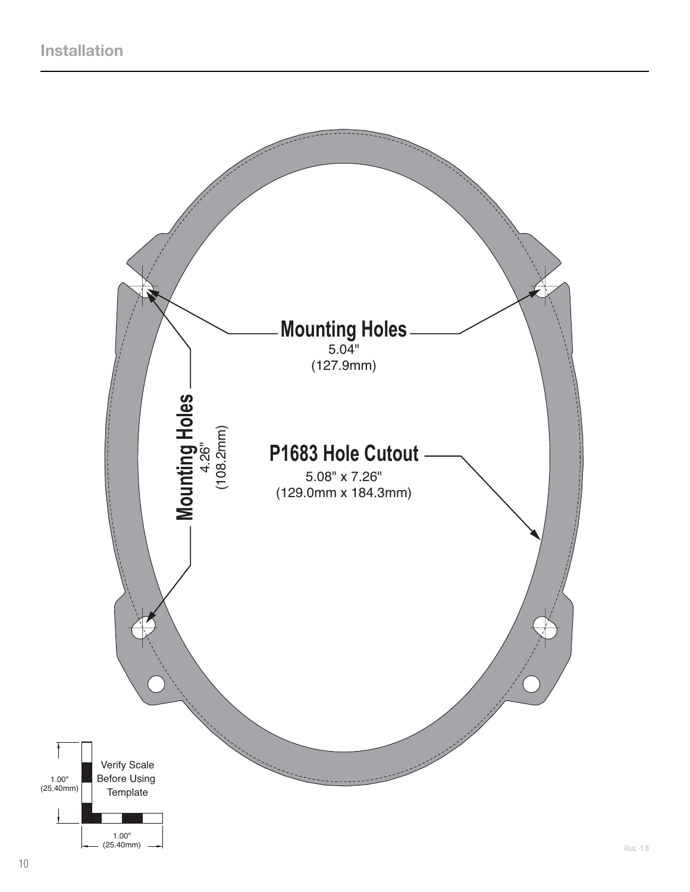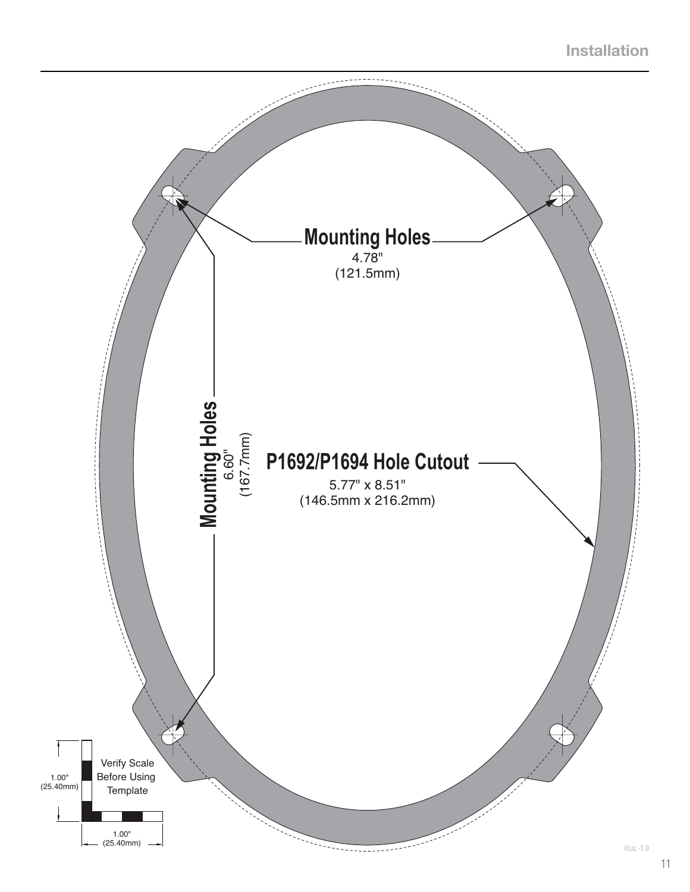